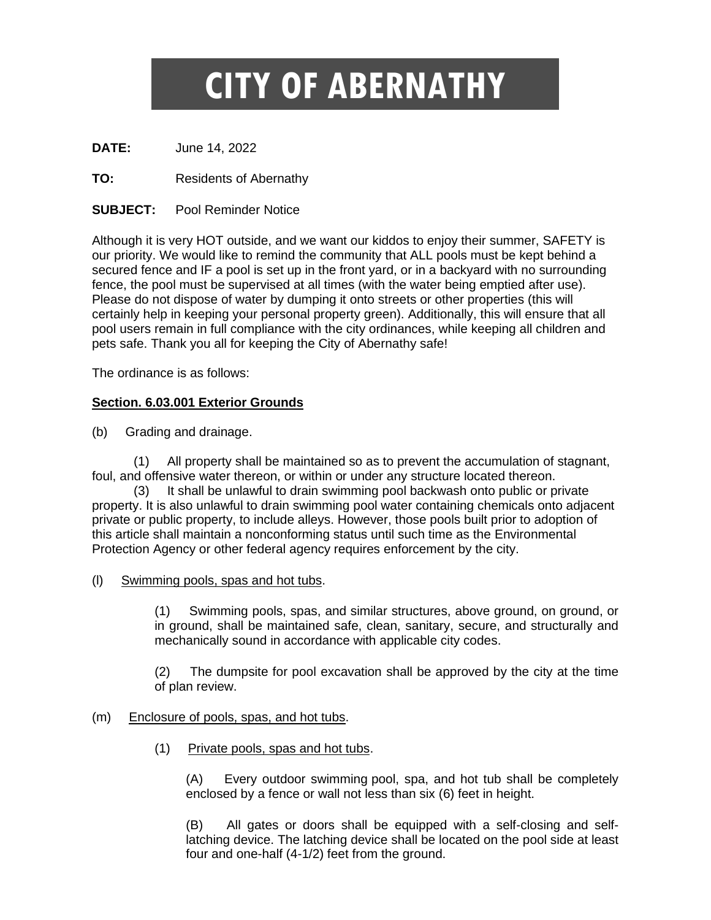# **CITY OF ABERNATHY**

**DATE:** June 14, 2022

**TO:** Residents of Abernathy

### **SUBJECT:** Pool Reminder Notice

Although it is very HOT outside, and we want our kiddos to enjoy their summer, SAFETY is our priority. We would like to remind the community that ALL pools must be kept behind a secured fence and IF a pool is set up in the front yard, or in a backyard with no surrounding fence, the pool must be supervised at all times (with the water being emptied after use). Please do not dispose of water by dumping it onto streets or other properties (this will certainly help in keeping your personal property green). Additionally, this will ensure that all pool users remain in full compliance with the city ordinances, while keeping all children and pets safe. Thank you all for keeping the City of Abernathy safe!

The ordinance is as follows:

#### **Section. 6.03.001 Exterior Grounds**

(b) Grading and drainage.

(1) All property shall be maintained so as to prevent the accumulation of stagnant, foul, and offensive water thereon, or within or under any structure located thereon.

(3) It shall be unlawful to drain swimming pool backwash onto public or private property. It is also unlawful to drain swimming pool water containing chemicals onto adjacent private or public property, to include alleys. However, those pools built prior to adoption of this article shall maintain a nonconforming status until such time as the Environmental Protection Agency or other federal agency requires enforcement by the city.

(l) Swimming pools, spas and hot tubs.

(1) Swimming pools, spas, and similar structures, above ground, on ground, or in ground, shall be maintained safe, clean, sanitary, secure, and structurally and mechanically sound in accordance with applicable city codes.

(2) The dumpsite for pool excavation shall be approved by the city at the time of plan review.

## (m) Enclosure of pools, spas, and hot tubs.

(1) Private pools, spas and hot tubs.

(A) Every outdoor swimming pool, spa, and hot tub shall be completely enclosed by a fence or wall not less than six (6) feet in height.

(B) All gates or doors shall be equipped with a self-closing and selflatching device. The latching device shall be located on the pool side at least four and one-half (4-1/2) feet from the ground.